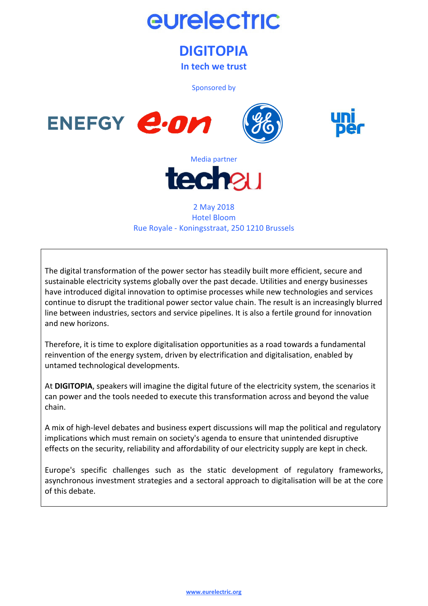

# **DIGITOPIA**

**In tech we trust** 

Sponsored by









### 2 May 2018 Hotel Bloom Rue Royale - Koningsstraat, 250 1210 Brussels

The digital transformation of the power sector has steadily built more efficient, secure and sustainable electricity systems globally over the past decade. Utilities and energy businesses have introduced digital innovation to optimise processes while new technologies and services continue to disrupt the traditional power sector value chain. The result is an increasingly blurred line between industries, sectors and service pipelines. It is also a fertile ground for innovation and new horizons.

Therefore, it is time to explore digitalisation opportunities as a road towards a fundamental reinvention of the energy system, driven by electrification and digitalisation, enabled by untamed technological developments.

At **DIGITOPIA**, speakers will imagine the digital future of the electricity system, the scenarios it can power and the tools needed to execute this transformation across and beyond the value chain.

A mix of high-level debates and business expert discussions will map the political and regulatory implications which must remain on society's agenda to ensure that unintended disruptive effects on the security, reliability and affordability of our electricity supply are kept in check.

Europe's specific challenges such as the static development of regulatory frameworks, asynchronous investment strategies and a sectoral approach to digitalisation will be at the core of this debate.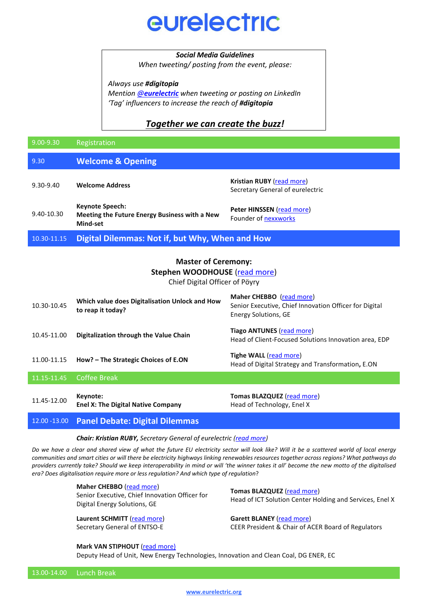# eurelectric

### *Social Media Guidelines*

*When tweeting/ posting from the event, please:* 

*Always use #digitopia*

*Mention @[eurelectric](https://twitter.com/eurelectric?utm_source=Digitopia+Registrations+List&utm_campaign=d44a6cf31e-EMAIL_CAMPAIGN_2018_04_18&utm_medium=email&utm_term=0_582f8907e3-d44a6cf31e-) when tweeting or posting on LinkedIn 'Tag' influencers to increase the reach of #digitopia*

# *Together we can create the buzz!*

| 9.00-9.30                                                                                            | Registration                                                                        |                                                                                                                   |  |  |
|------------------------------------------------------------------------------------------------------|-------------------------------------------------------------------------------------|-------------------------------------------------------------------------------------------------------------------|--|--|
| 9.30                                                                                                 | <b>Welcome &amp; Opening</b>                                                        |                                                                                                                   |  |  |
| 9.30-9.40                                                                                            | <b>Welcome Address</b>                                                              | Kristian RUBY (read more)<br>Secretary General of eurelectric                                                     |  |  |
| 9.40-10.30                                                                                           | <b>Keynote Speech:</b><br>Meeting the Future Energy Business with a New<br>Mind-set | Peter HINSSEN (read more)<br>Founder of nexxworks                                                                 |  |  |
| 10.30-11.15                                                                                          | Digital Dilemmas: Not if, but Why, When and How                                     |                                                                                                                   |  |  |
| <b>Master of Ceremony:</b><br><b>Stephen WOODHOUSE (read more)</b><br>Chief Digital Officer of Pöyry |                                                                                     |                                                                                                                   |  |  |
| 10.30-10.45                                                                                          | Which value does Digitalisation Unlock and How<br>to reap it today?                 | Maher CHEBBO (read more)<br>Senior Executive, Chief Innovation Officer for Digital<br><b>Energy Solutions, GE</b> |  |  |
| 10.45-11.00                                                                                          | Digitalization through the Value Chain                                              | <b>Tiago ANTUNES (read more)</b><br>Head of Client-Focused Solutions Innovation area, EDP                         |  |  |
| 11.00-11.15                                                                                          | How? - The Strategic Choices of E.ON                                                | Tighe WALL (read more)<br>Head of Digital Strategy and Transformation, E.ON                                       |  |  |
| 11.15-11.45                                                                                          | <b>Coffee Break</b>                                                                 |                                                                                                                   |  |  |
| 11.45-12.00                                                                                          | Keynote:<br><b>Enel X: The Digital Native Company</b>                               | Tomas BLAZQUEZ (read more)<br>Head of Technology, Enel X                                                          |  |  |
| 12.00 - 13.00                                                                                        | <b>Panel Debate: Digital Dilemmas</b>                                               |                                                                                                                   |  |  |

#### *Chair: Kristian RUBY, Secretary General of eurelectric ([read more\)](https://www.eurelectric.org/about-us/presidency-team/)*

*Do we have a clear and shared view of what the future EU electricity sector will look like? Will it be a scattered world of local energy communities and smart cities or will there be electricity highways linking renewables resources together across regions? What pathways do providers currently take? Should we keep interoperability in mind or will 'the winner takes it all' become the new motto of the digitalised era? Does digitalisation require more or less regulation? And which type of regulation*?

**Maher CHEBBO** [\(read more\)](https://www.eurelectric.org/media/3066/chebbo_jan-2018_v1-002.pdf)

Senior Executive, Chief Innovation Officer for Digital Energy Solutions, GE

**Laurent SCHMITT** ([read more\)](https://www.entsoe.eu/about-entso-e/inside-entso-e/secretariat/Pages/default.aspx) Secretary General of ENTSO-E

**Tomas BLAZQUEZ** ([read more\)](https://www.linkedin.com/in/tomas-blazquez-de-la-cruz-b667822/) Head of ICT Solution Center Holding and Services, Enel X

**Garett BLANEY** ([read more](https://www.linkedin.com/in/garrett-blaney-27651a11/)) CEER President & Chair of ACER Board of Regulators

**Mark VAN STIPHOUT** ([read more\)](https://www.eurelectric.org/media/3107/van-stiphout.pdf)

Deputy Head of Unit, New Energy Technologies, Innovation and Clean Coal, DG ENER, EC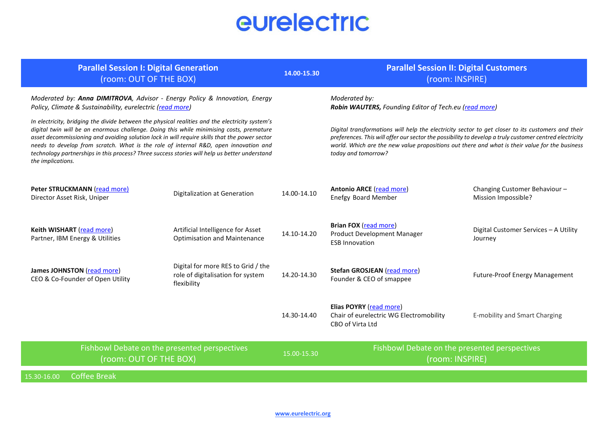# eurelectric

| <b>Parallel Session I: Digital Generation</b><br>(room: OUT OF THE BOX)                                                                                                                                                                                                                                                                                                                                                                                                                                    |                                                                                        |             | <b>Parallel Session II: Digital Customers</b><br>(room: INSPIRE)                                                                                                                                                                                                                                                                      |                                                     |
|------------------------------------------------------------------------------------------------------------------------------------------------------------------------------------------------------------------------------------------------------------------------------------------------------------------------------------------------------------------------------------------------------------------------------------------------------------------------------------------------------------|----------------------------------------------------------------------------------------|-------------|---------------------------------------------------------------------------------------------------------------------------------------------------------------------------------------------------------------------------------------------------------------------------------------------------------------------------------------|-----------------------------------------------------|
| Moderated by: Anna DIMITROVA, Advisor - Energy Policy & Innovation, Energy<br>Policy, Climate & Sustainability, eurelectric (read more)                                                                                                                                                                                                                                                                                                                                                                    |                                                                                        |             | Moderated by:<br>Robin WAUTERS, Founding Editor of Tech.eu (read more)                                                                                                                                                                                                                                                                |                                                     |
| In electricity, bridging the divide between the physical realities and the electricity system's<br>digital twin will be an enormous challenge. Doing this while minimising costs, premature<br>asset decommissioning and avoiding solution lock in will require skills that the power sector<br>needs to develop from scratch. What is the role of internal R&D, open innovation and<br>technology partnerships in this process? Three success stories will help us better understand<br>the implications. |                                                                                        |             | Digital transformations will help the electricity sector to get closer to its customers and their<br>preferences. This will offer our sector the possibility to develop a truly customer centred electricity<br>world. Which are the new value propositions out there and what is their value for the business<br>today and tomorrow? |                                                     |
| Peter STRUCKMANN (read more)<br>Director Asset Risk, Uniper                                                                                                                                                                                                                                                                                                                                                                                                                                                | Digitalization at Generation                                                           | 14.00-14.10 | <b>Antonio ARCE</b> (read more)<br><b>Enefgy Board Member</b>                                                                                                                                                                                                                                                                         | Changing Customer Behaviour-<br>Mission Impossible? |
| Keith WISHART (read more)<br>Partner, IBM Energy & Utilities                                                                                                                                                                                                                                                                                                                                                                                                                                               | Artificial Intelligence for Asset<br><b>Optimisation and Maintenance</b>               | 14.10-14.20 | <b>Brian FOX (read more)</b><br><b>Product Development Manager</b><br><b>ESB Innovation</b>                                                                                                                                                                                                                                           | Digital Customer Services - A Utility<br>Journey    |
| James JOHNSTON (read more)<br>CEO & Co-Founder of Open Utility                                                                                                                                                                                                                                                                                                                                                                                                                                             | Digital for more RES to Grid / the<br>role of digitalisation for system<br>flexibility | 14.20-14.30 | Stefan GROSJEAN (read more)<br>Founder & CEO of smappee                                                                                                                                                                                                                                                                               | Future-Proof Energy Management                      |
|                                                                                                                                                                                                                                                                                                                                                                                                                                                                                                            |                                                                                        | 14.30-14.40 | Elias POYRY (read more)<br>Chair of eurelectric WG Electromobility<br>CBO of Virta Ltd                                                                                                                                                                                                                                                | <b>E-mobility and Smart Charging</b>                |
| Fishbowl Debate on the presented perspectives<br>(room: OUT OF THE BOX)                                                                                                                                                                                                                                                                                                                                                                                                                                    |                                                                                        | 15.00-15.30 | Fishbowl Debate on the presented perspectives<br>(room: INSPIRE)                                                                                                                                                                                                                                                                      |                                                     |
| <b>Coffee Break</b><br>15.30-16.00                                                                                                                                                                                                                                                                                                                                                                                                                                                                         |                                                                                        |             |                                                                                                                                                                                                                                                                                                                                       |                                                     |